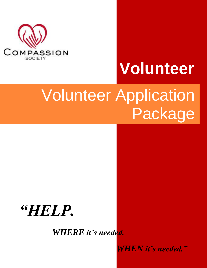

# **Volunteer**

## Volunteer Application Package

## *"HELP.*

*WHERE it's needed.*

*WHEN it's needed."*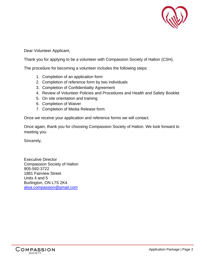

Dear Volunteer Applicant,

Thank you for applying to be a volunteer with Compassion Society of Halton (CSH).

The procedure for becoming a volunteer includes the following steps:

- 1. Completion of an application form
- 2. Completion of reference form by two individuals
- 3. Completion of Confidentiality Agreement
- 4. Review of Volunteer Policies and Procedures and Health and Safety Booklet
- 5. On site orientation and training
- 6. Completion of Waiver
- 7. Completion of Media Release form

Once we receive your application and reference forms we will contact.

Once again, thank you for choosing Compassion Society of Halton. We look forward to meeting you.

Sincerely,

Executive Director Compassion Society of Halton 905-592-3722 1881 Fairview Street Units 4 and 5 Burlington, ON L7S 2K4 [aliya.compassion@gmail.com](mailto:aliya.compassion@gmail.com)

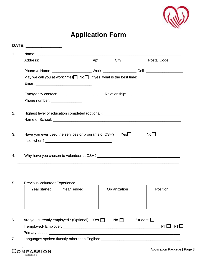

## **Application Form**

| Phone #: Home: ____________________________Work: _____________________Cell: ________________________ |     |                 |
|------------------------------------------------------------------------------------------------------|-----|-----------------|
|                                                                                                      |     |                 |
|                                                                                                      |     |                 |
|                                                                                                      |     |                 |
| Phone number: ________________                                                                       |     |                 |
| Highest level of education completed (optional): ________________________________                    |     |                 |
|                                                                                                      |     |                 |
|                                                                                                      |     |                 |
| Have you ever used the services or programs of CSH?                                                  | Yes | No <sub>1</sub> |
|                                                                                                      |     |                 |
|                                                                                                      |     |                 |

#### 5. Previous Volunteer Experience

| Year started | Year ended | Organization | Position |
|--------------|------------|--------------|----------|
|              |            |              |          |
|              |            |              |          |

| 6. | Are you currently employed? (Optional)<br>Yes $\Box$ | No $\Box$ | Student $\square$ |             |
|----|------------------------------------------------------|-----------|-------------------|-------------|
|    | If employed- Employer:                               |           |                   | PTI I FTI I |
|    | Primary duties:                                      |           |                   |             |
|    | Languages spoken fluently other than English:        |           |                   |             |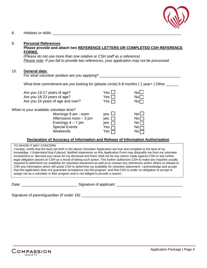

#### 8. Hobbies or skills: \_\_\_\_\_\_\_\_\_\_\_\_\_\_\_\_\_\_\_\_\_\_\_\_\_\_\_\_\_\_\_\_\_\_\_\_\_\_\_\_\_\_\_\_\_\_\_\_\_\_\_\_\_\_\_\_\_\_\_\_\_\_

#### 9. **Personal References Please provide and attach two REFERENCE LETTERS OR COMPLETED CSH REFERENCE FORMS.**

*(Please do not use more than one relative or CSH staff as a reference) Please note: If you fail to provide two references, your application may not be processed.*

#### 10. **General data:**

For what volunteer position are you applying?

What time commitment are you looking for (please circle) 6-8 months | 1 year+ | Other

Are you 13-17 years of age? Yes Are you 18-23 years of age? Yes Are you 24 years of age and over? Yes

When is your available volunteer time?

Mornings  $9$  am - noon  $V$ es Afternoons noon  $-3$  pm yes Evenings  $4 - 7$  pm yes Special Events **Yes** Weekends Yes

| ircle) 6-8 months   1 y                                          |                                                                                                   |
|------------------------------------------------------------------|---------------------------------------------------------------------------------------------------|
| $\mathbf{S}$<br>$\overline{5}$ $\overline{\Box}$<br>$\mathsf{s}$ | No $\Box$<br>No <sub>1</sub><br>No $\sqcap$                                                       |
| $\mathbf{r}$<br>$\mathbf{r}$<br>;<br>3<br>3                      | No <sub>1</sub><br>$\mathsf{No}\,\Box$<br>No <sub>1</sub><br>$\overline{N_0}$<br>$\overline{N_0}$ |

#### **Declaration of Accuracy of Information and Release of Information Authorization**

#### TO WHOM IT MAY CONCERN

I hereby, certify that the facts set forth in the above Volunteer Application are true and complete to the best of my knowledge. I Understand that if placed, falsified statements on this Application Form may disqualify me from my volunteer involvement or Become just cause for my dismissal and there shall not be any claims made against CSH or any further legal obligation placed on CSH as a result of taking such action. This further authorizes CSH to make any inquiries usually required to determine my suitability for volunteer placement as well as to contact any references and/or others to release to CSH any information which will assist CSH to determine my suitability for volunteer placement. I acknowledge and accept that this application does not guarantee acceptance into the program, and that CSH is under no obligation to accept or assign me as a volunteer in their program and is not obliged to provide a reason.

Date: example and the state of applicant:  $\Box$  Signature of applicant:

Signature of parent/guardian (if under 18): \_\_\_\_\_\_\_\_\_\_\_\_\_\_\_\_\_\_\_\_\_\_\_\_\_\_\_\_\_\_\_\_\_\_\_\_\_\_\_\_\_\_\_\_\_\_\_\_

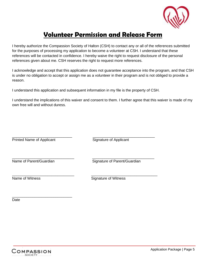

### **Volunteer Permission and Release Form**

I hereby authorize the Compassion Society of Halton (CSH) to contact any or all of the references submitted for the purposes of processing my application to become a volunteer at CSH. I understand that these references will be contacted in confidence. I hereby waive the right to request disclosure of the personal references given about me. CSH reserves the right to request more references.

I acknowledge and accept that this application does not guarantee acceptance into the program, and that CSH is under no obligation to accept or assign me as a volunteer in their program and is not obliged to provide a reason.

I understand this application and subsequent information in my file is the property of CSH.

\_\_\_\_\_\_\_\_\_\_\_\_\_\_\_\_\_\_\_\_\_\_\_\_\_\_\_\_\_\_ \_\_\_\_\_\_\_\_\_\_\_\_\_\_\_\_\_\_\_\_\_\_\_\_\_\_\_\_\_\_

I understand the implications of this waiver and consent to them. I further agree that this waiver is made of my own free will and without duress.

\_\_\_\_\_\_\_\_\_\_\_\_\_\_\_\_\_\_\_\_\_\_\_\_\_\_\_\_\_ \_\_\_\_\_\_\_\_\_\_\_\_\_\_\_\_\_\_\_\_\_\_\_\_\_\_\_\_\_\_ Printed Name of Applicant Signature of Applicant

\_\_\_\_\_\_\_\_\_\_\_\_\_\_\_\_\_\_\_\_\_\_\_\_\_\_\_\_\_

Name of Parent/Guardian Signature of Parent/Guardian

\_\_\_\_\_\_\_\_\_\_\_\_\_\_\_\_\_\_\_\_\_\_\_\_\_\_\_\_\_\_ \_\_\_\_\_\_\_\_\_\_\_\_\_\_\_\_\_\_\_\_\_\_\_\_\_\_\_\_\_\_\_\_ Name of Witness **Name of Witness** Signature of Witness

Date

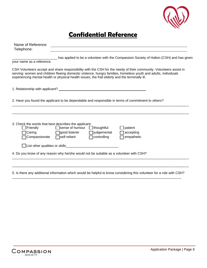

### **Confidential Reference**

| Name of Reference:<br>Telephone:                                                                            |                                                             |                                                                 |                                                                                                                                                                                                                                      |
|-------------------------------------------------------------------------------------------------------------|-------------------------------------------------------------|-----------------------------------------------------------------|--------------------------------------------------------------------------------------------------------------------------------------------------------------------------------------------------------------------------------------|
| your name as a reference.                                                                                   |                                                             |                                                                 | has applied to be a volunteer with the Compassion Society of Halton (CSH) and has given                                                                                                                                              |
| experiencing mental health or physical health issues, the frail elderly and the terminally ill.             |                                                             |                                                                 | CSH Volunteers accept and share responsibility with the CSH for the needy of their community. Volunteers assist in<br>serving: women and children fleeing domestic violence, hungry families, homeless youth and adults, individuals |
|                                                                                                             |                                                             |                                                                 |                                                                                                                                                                                                                                      |
|                                                                                                             |                                                             |                                                                 | 2. Have you found the applicant to be dependable and responsible in terms of commitment to others?                                                                                                                                   |
| 3. Check the words that best describes the applicant:<br>$\blacksquare$ Friendly<br>Caring<br>Compassionate | □ Sense of humour<br>□ good listener<br>$\Box$ self-reliant | $\Box$ thoughtful<br><b>□</b> judgemental<br>$\Box$ controlling | patient<br>accepting<br>empathetic                                                                                                                                                                                                   |
|                                                                                                             |                                                             |                                                                 |                                                                                                                                                                                                                                      |
| 4. Do you know of any reason why he/she would not be suitable as a volunteer with CSH?                      |                                                             |                                                                 |                                                                                                                                                                                                                                      |
|                                                                                                             |                                                             |                                                                 |                                                                                                                                                                                                                                      |

5. Is there any additional information which would be helpful to know considering this volunteer for a role with CSH? \_\_\_\_\_\_\_\_\_\_\_\_\_\_\_\_\_\_\_\_\_\_\_\_\_\_\_\_\_\_\_\_\_\_\_\_\_\_\_\_\_\_\_\_\_\_\_\_\_\_\_\_\_\_\_\_\_\_\_\_\_\_\_\_\_\_\_\_\_\_\_\_\_\_\_\_\_\_\_\_\_\_\_\_\_\_\_\_\_\_